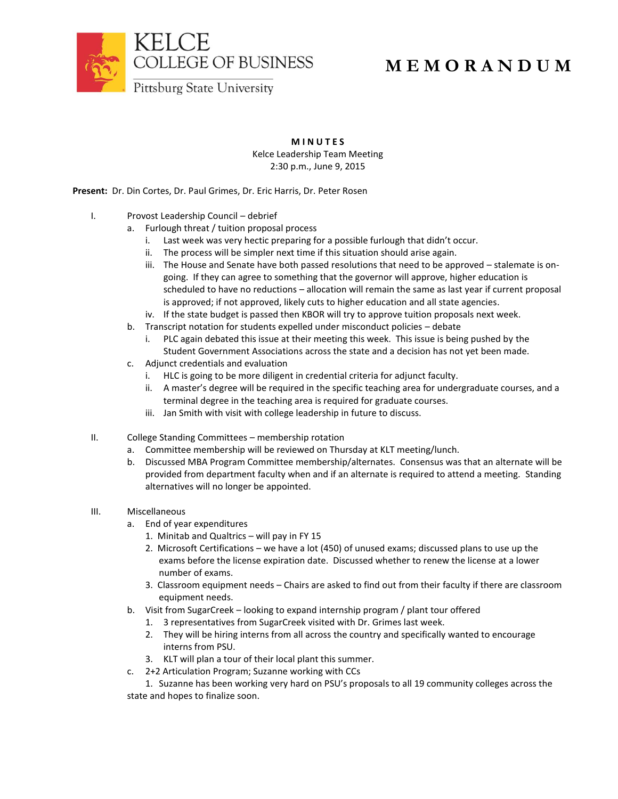

## **M E M O R A N D U M**

**M I N U T E S**

Kelce Leadership Team Meeting 2:30 p.m., June 9, 2015

**Present:** Dr. Din Cortes, Dr. Paul Grimes, Dr. Eric Harris, Dr. Peter Rosen

- I. Provost Leadership Council debrief
	- a. Furlough threat / tuition proposal process
		- i. Last week was very hectic preparing for a possible furlough that didn't occur.
		- ii. The process will be simpler next time if this situation should arise again.
		- iii. The House and Senate have both passed resolutions that need to be approved stalemate is ongoing. If they can agree to something that the governor will approve, higher education is scheduled to have no reductions – allocation will remain the same as last year if current proposal is approved; if not approved, likely cuts to higher education and all state agencies.
	- iv. If the state budget is passed then KBOR will try to approve tuition proposals next week.
	- b. Transcript notation for students expelled under misconduct policies debate
		- i. PLC again debated this issue at their meeting this week. This issue is being pushed by the Student Government Associations across the state and a decision has not yet been made.
	- c. Adjunct credentials and evaluation
		- i. HLC is going to be more diligent in credential criteria for adjunct faculty.
		- ii. A master's degree will be required in the specific teaching area for undergraduate courses, and a terminal degree in the teaching area is required for graduate courses.
		- iii. Jan Smith with visit with college leadership in future to discuss.
- II. College Standing Committees membership rotation
	- a. Committee membership will be reviewed on Thursday at KLT meeting/lunch.
	- b. Discussed MBA Program Committee membership/alternates. Consensus was that an alternate will be provided from department faculty when and if an alternate is required to attend a meeting. Standing alternatives will no longer be appointed.
- III. Miscellaneous
	- a. End of year expenditures
		- 1. Minitab and Qualtrics will pay in FY 15
		- 2. Microsoft Certifications we have a lot (450) of unused exams; discussed plans to use up the exams before the license expiration date. Discussed whether to renew the license at a lower number of exams.
		- 3. Classroom equipment needs Chairs are asked to find out from their faculty if there are classroom equipment needs.
	- b. Visit from SugarCreek looking to expand internship program / plant tour offered
		- 1. 3 representatives from SugarCreek visited with Dr. Grimes last week.
		- 2. They will be hiring interns from all across the country and specifically wanted to encourage interns from PSU.
		- 3. KLT will plan a tour of their local plant this summer.
	- c. 2+2 Articulation Program; Suzanne working with CCs

1. Suzanne has been working very hard on PSU's proposals to all 19 community colleges across the state and hopes to finalize soon.